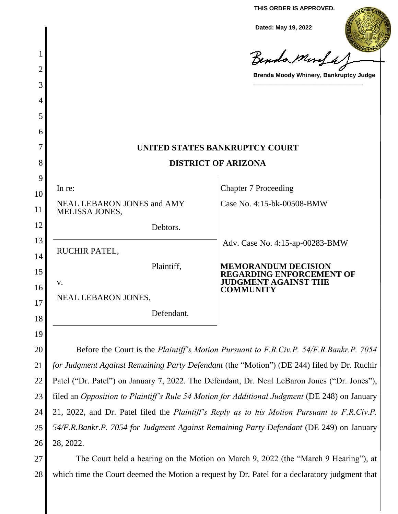**THIS ORDER IS APPROVED.**

**Dated: May 19, 2022**

|          |                                                                                                    | Dated: May 19, 2022                                           |
|----------|----------------------------------------------------------------------------------------------------|---------------------------------------------------------------|
| 1        |                                                                                                    | Benda Monfa                                                   |
| 2        |                                                                                                    | Brenda Moody Whinery, Bankruptcy Judge                        |
| 3        |                                                                                                    |                                                               |
| 4        |                                                                                                    |                                                               |
| 5        |                                                                                                    |                                                               |
| 6        |                                                                                                    |                                                               |
| 7        |                                                                                                    | UNITED STATES BANKRUPTCY COURT                                |
| 8        | <b>DISTRICT OF ARIZONA</b>                                                                         |                                                               |
| 9        | In re:                                                                                             | <b>Chapter 7 Proceeding</b>                                   |
| 10<br>11 | NEAL LEBARON JONES and AMY<br><b>MELISSA JONES,</b>                                                | Case No. 4:15-bk-00508-BMW                                    |
| 12       | Debtors.                                                                                           |                                                               |
| 13       | RUCHIR PATEL,                                                                                      | Adv. Case No. 4:15-ap-00283-BMW                               |
| 14<br>15 | Plaintiff,                                                                                         | <b>MEMORANDUM DECISION</b><br><b>REGARDING ENFORCEMENT OF</b> |
| 16       | V.                                                                                                 | <b>JUDGMENT AGAINST THE</b><br><b>COMMUNITY</b>               |
| 17       | <b>NEAL LEBARON JONES,</b>                                                                         |                                                               |
| 18       | Defendant.                                                                                         |                                                               |
| 19       |                                                                                                    |                                                               |
| 20       | Before the Court is the Plaintiff's Motion Pursuant to F.R.Civ.P. 54/F.R.Bankr.P. 7054             |                                                               |
| 21       | for Judgment Against Remaining Party Defendant (the "Motion") (DE 244) filed by Dr. Ruchir         |                                                               |
| 22       | Patel ("Dr. Patel") on January 7, 2022. The Defendant, Dr. Neal LeBaron Jones ("Dr. Jones"),       |                                                               |
| 23       | filed an Opposition to Plaintiff's Rule 54 Motion for Additional Judgment (DE 248) on January      |                                                               |
| 24       | 21, 2022, and Dr. Patel filed the <i>Plaintiff's Reply as to his Motion Pursuant to F.R.Civ.P.</i> |                                                               |
| 25       | 54/F.R.Bankr.P. 7054 for Judgment Against Remaining Party Defendant (DE 249) on January            |                                                               |
| 26       | 28, 2022.                                                                                          |                                                               |

27 28 The Court held a hearing on the Motion on March 9, 2022 (the "March 9 Hearing"), at which time the Court deemed the Motion a request by Dr. Patel for a declaratory judgment that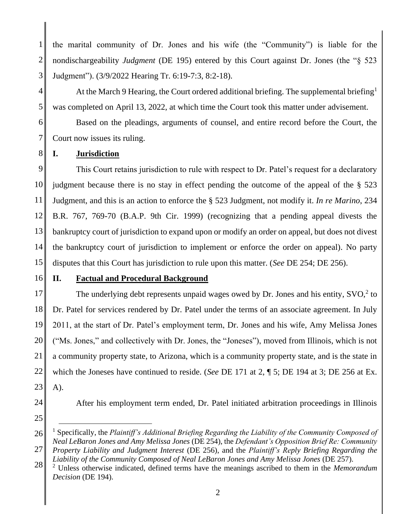1 2 3 the marital community of Dr. Jones and his wife (the "Community") is liable for the nondischargeability *Judgment* (DE 195) entered by this Court against Dr. Jones (the "§ 523 Judgment"). (3/9/2022 Hearing Tr. 6:19-7:3, 8:2-18).

At the March 9 Hearing, the Court ordered additional briefing. The supplemental briefing<sup>1</sup> was completed on April 13, 2022, at which time the Court took this matter under advisement.

Based on the pleadings, arguments of counsel, and entire record before the Court, the Court now issues its ruling.

# **I. Jurisdiction**

9 10 11 12 13 14 15 This Court retains jurisdiction to rule with respect to Dr. Patel's request for a declaratory judgment because there is no stay in effect pending the outcome of the appeal of the § 523 Judgment, and this is an action to enforce the § 523 Judgment, not modify it. *In re Marino*, 234 B.R. 767, 769-70 (B.A.P. 9th Cir. 1999) (recognizing that a pending appeal divests the bankruptcy court of jurisdiction to expand upon or modify an order on appeal, but does not divest the bankruptcy court of jurisdiction to implement or enforce the order on appeal). No party disputes that this Court has jurisdiction to rule upon this matter. (*See* DE 254; DE 256).

16

4

5

6

7

8

# **II. Factual and Procedural Background**

17 18 19 20 21 22 23 The underlying debt represents unpaid wages owed by Dr. Jones and his entity,  $SVO<sup>2</sup>$  to Dr. Patel for services rendered by Dr. Patel under the terms of an associate agreement. In July 2011, at the start of Dr. Patel's employment term, Dr. Jones and his wife, Amy Melissa Jones ("Ms. Jones," and collectively with Dr. Jones, the "Joneses"), moved from Illinois, which is not a community property state, to Arizona, which is a community property state, and is the state in which the Joneses have continued to reside. (*See* DE 171 at 2, ¶ 5; DE 194 at 3; DE 256 at Ex. A).

24

After his employment term ended, Dr. Patel initiated arbitration proceedings in Illinois

25

26 27 <sup>1</sup> Specifically, the *Plaintiff's Additional Briefing Regarding the Liability of the Community Composed of Neal LeBaron Jones and Amy Melissa Jones* (DE 254), the *Defendant's Opposition Brief Re: Community Property Liability and Judgment Interest* (DE 256), and the *Plaintiff's Reply Briefing Regarding the* 

*Liability of the Community Composed of Neal LeBaron Jones and Amy Melissa Jones* (DE 257).

28 <sup>2</sup> Unless otherwise indicated, defined terms have the meanings ascribed to them in the *Memorandum Decision* (DE 194).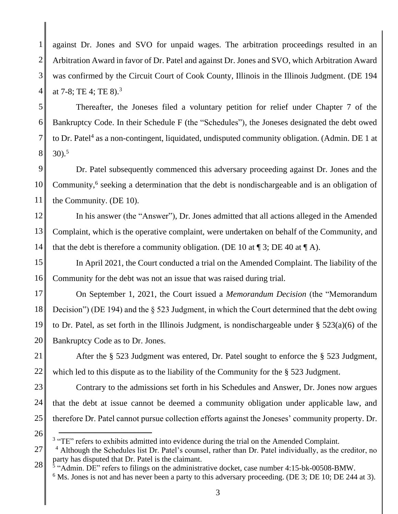1 2 3 4 against Dr. Jones and SVO for unpaid wages. The arbitration proceedings resulted in an Arbitration Award in favor of Dr. Patel and against Dr. Jones and SVO, which Arbitration Award was confirmed by the Circuit Court of Cook County, Illinois in the Illinois Judgment. (DE 194 at 7-8; TE 4; TE 8).<sup>3</sup>

5 6 7 8 Thereafter, the Joneses filed a voluntary petition for relief under Chapter 7 of the Bankruptcy Code. In their Schedule F (the "Schedules"), the Joneses designated the debt owed to Dr. Patel<sup>4</sup> as a non-contingent, liquidated, undisputed community obligation. (Admin. DE 1 at 30). 5

9 10 11 Dr. Patel subsequently commenced this adversary proceeding against Dr. Jones and the Community,<sup>6</sup> seeking a determination that the debt is nondischargeable and is an obligation of the Community. (DE 10).

12 13 14 In his answer (the "Answer"), Dr. Jones admitted that all actions alleged in the Amended Complaint, which is the operative complaint, were undertaken on behalf of the Community, and that the debt is therefore a community obligation. (DE 10 at  $\P$  3; DE 40 at  $\P$  A).

15 16 In April 2021, the Court conducted a trial on the Amended Complaint. The liability of the Community for the debt was not an issue that was raised during trial.

17 18 19 20 On September 1, 2021, the Court issued a *Memorandum Decision* (the "Memorandum Decision") (DE 194) and the § 523 Judgment, in which the Court determined that the debt owing to Dr. Patel, as set forth in the Illinois Judgment, is nondischargeable under § 523(a)(6) of the Bankruptcy Code as to Dr. Jones.

21 22 After the § 523 Judgment was entered, Dr. Patel sought to enforce the § 523 Judgment, which led to this dispute as to the liability of the Community for the § 523 Judgment.

23 24 25 Contrary to the admissions set forth in his Schedules and Answer, Dr. Jones now argues that the debt at issue cannot be deemed a community obligation under applicable law, and therefore Dr. Patel cannot pursue collection efforts against the Joneses' community property. Dr.

26

 $3$  "TE" refers to exhibits admitted into evidence during the trial on the Amended Complaint.

<sup>27</sup> 28 <sup>4</sup> Although the Schedules list Dr. Patel's counsel, rather than Dr. Patel individually, as the creditor, no party has disputed that Dr. Patel is the claimant.

<sup>&</sup>lt;sup>5</sup> "Admin. DE" refers to filings on the administrative docket, case number 4:15-bk-00508-BMW.

 $6$  Ms. Jones is not and has never been a party to this adversary proceeding. (DE 3; DE 10; DE 244 at 3).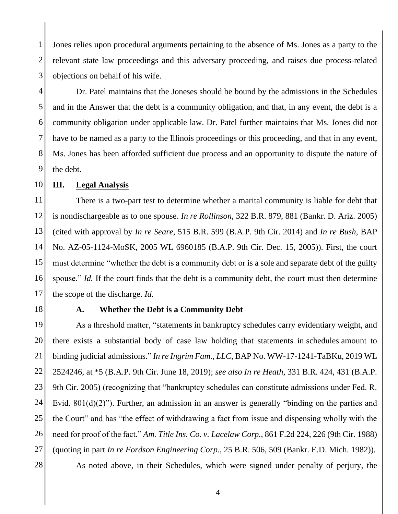1 2 3 Jones relies upon procedural arguments pertaining to the absence of Ms. Jones as a party to the relevant state law proceedings and this adversary proceeding, and raises due process-related objections on behalf of his wife.

4 5 6 7 8 9 Dr. Patel maintains that the Joneses should be bound by the admissions in the Schedules and in the Answer that the debt is a community obligation, and that, in any event, the debt is a community obligation under applicable law. Dr. Patel further maintains that Ms. Jones did not have to be named as a party to the Illinois proceedings or this proceeding, and that in any event, Ms. Jones has been afforded sufficient due process and an opportunity to dispute the nature of the debt.

10 **III. Legal Analysis**

11 12 13 14 15 16 17 There is a two-part test to determine whether a marital community is liable for debt that is nondischargeable as to one spouse. *In re Rollinson*, 322 B.R. 879, 881 (Bankr. D. Ariz. 2005) (cited with approval by *In re Seare*, 515 B.R. 599 (B.A.P. 9th Cir. 2014) and *In re Bush*, BAP No. AZ-05-1124-MoSK, 2005 WL 6960185 (B.A.P. 9th Cir. Dec. 15, 2005)). First, the court must determine "whether the debt is a community debt or is a sole and separate debt of the guilty spouse." *Id.* If the court finds that the debt is a community debt, the court must then determine the scope of the discharge. *Id.*

18

## **A. Whether the Debt is a Community Debt**

19 20 21 22 23 24 25 26 27 28 As a threshold matter, "statements in bankruptcy schedules carry evidentiary weight, and there exists a substantial body of case law holding that statements in schedules amount to binding judicial admissions." *In re Ingrim Fam., LLC*, BAP No. WW-17-1241-TaBKu, 2019 WL 2524246, at \*5 (B.A.P. 9th Cir. June 18, 2019); *see also In re Heath*, 331 B.R. 424, 431 (B.A.P. 9th Cir. 2005) (recognizing that "bankruptcy schedules can constitute admissions under Fed. R. Evid. 801(d)(2)"). Further, an admission in an answer is generally "binding on the parties and the Court" and has "the effect of withdrawing a fact from issue and dispensing wholly with the need for proof of the fact." *Am. Title Ins. Co. v. Lacelaw Corp.*, 861 F.2d 224, 226 (9th Cir. 1988) (quoting in part *In re Fordson Engineering Corp.*, 25 B.R. 506, 509 (Bankr. E.D. Mich. 1982)).

As noted above, in their Schedules, which were signed under penalty of perjury, the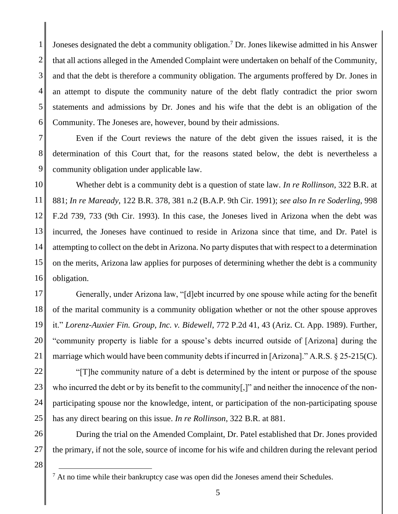1 2 3 4 5 6 Joneses designated the debt a community obligation.<sup>7</sup> Dr. Jones likewise admitted in his Answer that all actions alleged in the Amended Complaint were undertaken on behalf of the Community, and that the debt is therefore a community obligation. The arguments proffered by Dr. Jones in an attempt to dispute the community nature of the debt flatly contradict the prior sworn statements and admissions by Dr. Jones and his wife that the debt is an obligation of the Community. The Joneses are, however, bound by their admissions.

7 8 9 Even if the Court reviews the nature of the debt given the issues raised, it is the determination of this Court that, for the reasons stated below, the debt is nevertheless a community obligation under applicable law.

10 11 12 13 14 15 16 Whether debt is a community debt is a question of state law. *In re Rollinson*, 322 B.R. at 881; *In re Maready*, 122 B.R. 378, 381 n.2 (B.A.P. 9th Cir. 1991); *see also In re Soderling*, 998 F.2d 739, 733 (9th Cir. 1993). In this case, the Joneses lived in Arizona when the debt was incurred, the Joneses have continued to reside in Arizona since that time, and Dr. Patel is attempting to collect on the debt in Arizona. No party disputes that with respect to a determination on the merits, Arizona law applies for purposes of determining whether the debt is a community obligation.

17 18 19 20 21 Generally, under Arizona law, "[d]ebt incurred by one spouse while acting for the benefit of the marital community is a community obligation whether or not the other spouse approves it." *Lorenz-Auxier Fin. Group, Inc. v. Bidewell*, 772 P.2d 41, 43 (Ariz. Ct. App. 1989). Further, "community property is liable for a spouse's debts incurred outside of [Arizona] during the marriage which would have been community debts if incurred in [Arizona]." A.R.S. § 25-215(C).

22 23 24 25 "[T]he community nature of a debt is determined by the intent or purpose of the spouse who incurred the debt or by its benefit to the community[,]" and neither the innocence of the nonparticipating spouse nor the knowledge, intent, or participation of the non-participating spouse has any direct bearing on this issue. *In re Rollinson*, 322 B.R. at 881.

During the trial on the Amended Complaint, Dr. Patel established that Dr. Jones provided the primary, if not the sole, source of income for his wife and children during the relevant period

28

27

26

 $<sup>7</sup>$  At no time while their bankruptcy case was open did the Joneses amend their Schedules.</sup>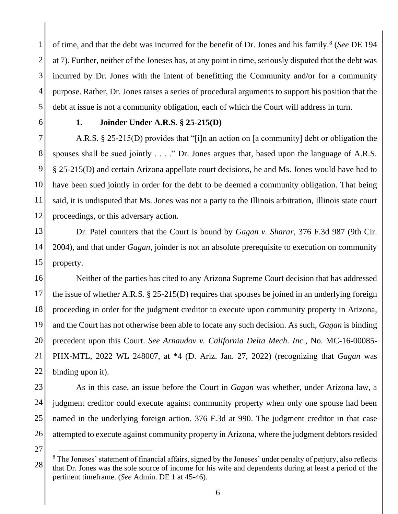1 2 3 4 5 of time, and that the debt was incurred for the benefit of Dr. Jones and his family.<sup>8</sup> (*See* DE 194 at 7). Further, neither of the Joneses has, at any point in time, seriously disputed that the debt was incurred by Dr. Jones with the intent of benefitting the Community and/or for a community purpose. Rather, Dr. Jones raises a series of procedural arguments to support his position that the debt at issue is not a community obligation, each of which the Court will address in turn.

6

## **1. Joinder Under A.R.S. § 25-215(D)**

7 8 9 10 11 12 A.R.S. § 25-215(D) provides that "[i]n an action on [a community] debt or obligation the spouses shall be sued jointly . . . ." Dr. Jones argues that, based upon the language of A.R.S. § 25-215(D) and certain Arizona appellate court decisions, he and Ms. Jones would have had to have been sued jointly in order for the debt to be deemed a community obligation. That being said, it is undisputed that Ms. Jones was not a party to the Illinois arbitration, Illinois state court proceedings, or this adversary action.

13 14 15 Dr. Patel counters that the Court is bound by *Gagan v. Sharar*, 376 F.3d 987 (9th Cir. 2004), and that under *Gagan*, joinder is not an absolute prerequisite to execution on community property.

16 17 18 19 20 21 22 Neither of the parties has cited to any Arizona Supreme Court decision that has addressed the issue of whether A.R.S. § 25-215(D) requires that spouses be joined in an underlying foreign proceeding in order for the judgment creditor to execute upon community property in Arizona, and the Court has not otherwise been able to locate any such decision. As such, *Gagan* is binding precedent upon this Court. *See Arnaudov v. California Delta Mech. Inc.*, No. MC-16-00085- PHX-MTL, 2022 WL 248007, at \*4 (D. Ariz. Jan. 27, 2022) (recognizing that *Gagan* was binding upon it).

23 24 25 26 As in this case, an issue before the Court in *Gagan* was whether, under Arizona law, a judgment creditor could execute against community property when only one spouse had been named in the underlying foreign action. 376 F.3d at 990. The judgment creditor in that case attempted to execute against community property in Arizona, where the judgment debtors resided

27

<sup>28</sup>  $8$  The Joneses' statement of financial affairs, signed by the Joneses' under penalty of perjury, also reflects that Dr. Jones was the sole source of income for his wife and dependents during at least a period of the pertinent timeframe. (*See* Admin. DE 1 at 45-46).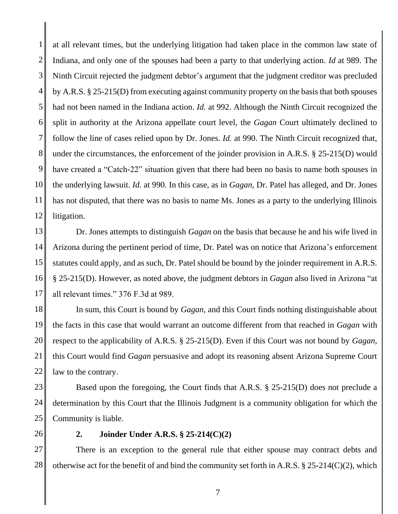1 2 3 4 5 6 7 8 9 10 11 12 at all relevant times, but the underlying litigation had taken place in the common law state of Indiana, and only one of the spouses had been a party to that underlying action. *Id* at 989. The Ninth Circuit rejected the judgment debtor's argument that the judgment creditor was precluded by A.R.S. § 25-215(D) from executing against community property on the basis that both spouses had not been named in the Indiana action. *Id.* at 992. Although the Ninth Circuit recognized the split in authority at the Arizona appellate court level, the *Gagan* Court ultimately declined to follow the line of cases relied upon by Dr. Jones. *Id.* at 990. The Ninth Circuit recognized that, under the circumstances, the enforcement of the joinder provision in A.R.S. § 25-215(D) would have created a "Catch-22" situation given that there had been no basis to name both spouses in the underlying lawsuit. *Id.* at 990. In this case, as in *Gagan*, Dr. Patel has alleged, and Dr. Jones has not disputed, that there was no basis to name Ms. Jones as a party to the underlying Illinois litigation.

13 14 15 16 17 Dr. Jones attempts to distinguish *Gagan* on the basis that because he and his wife lived in Arizona during the pertinent period of time, Dr. Patel was on notice that Arizona's enforcement statutes could apply, and as such, Dr. Patel should be bound by the joinder requirement in A.R.S. § 25-215(D). However, as noted above, the judgment debtors in *Gagan* also lived in Arizona "at all relevant times." 376 F.3d at 989.

18 19 20 21 22 In sum, this Court is bound by *Gagan*, and this Court finds nothing distinguishable about the facts in this case that would warrant an outcome different from that reached in *Gagan* with respect to the applicability of A.R.S. § 25-215(D). Even if this Court was not bound by *Gagan*, this Court would find *Gagan* persuasive and adopt its reasoning absent Arizona Supreme Court law to the contrary.

23 24 25 Based upon the foregoing, the Court finds that A.R.S. § 25-215(D) does not preclude a determination by this Court that the Illinois Judgment is a community obligation for which the Community is liable.

26

#### **2. Joinder Under A.R.S. § 25-214(C)(2)**

27 28 There is an exception to the general rule that either spouse may contract debts and otherwise act for the benefit of and bind the community set forth in A.R.S. § 25-214(C)(2), which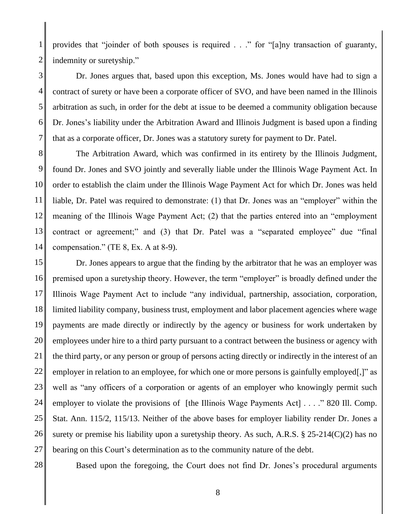1 2 provides that "joinder of both spouses is required . . ." for "[a]ny transaction of guaranty, indemnity or suretyship."

3 4 5 6 7 Dr. Jones argues that, based upon this exception, Ms. Jones would have had to sign a contract of surety or have been a corporate officer of SVO, and have been named in the Illinois arbitration as such, in order for the debt at issue to be deemed a community obligation because Dr. Jones's liability under the Arbitration Award and Illinois Judgment is based upon a finding that as a corporate officer, Dr. Jones was a statutory surety for payment to Dr. Patel.

8 9 10 11 12 13 14 The Arbitration Award, which was confirmed in its entirety by the Illinois Judgment, found Dr. Jones and SVO jointly and severally liable under the Illinois Wage Payment Act. In order to establish the claim under the Illinois Wage Payment Act for which Dr. Jones was held liable, Dr. Patel was required to demonstrate: (1) that Dr. Jones was an "employer" within the meaning of the Illinois Wage Payment Act; (2) that the parties entered into an "employment contract or agreement;" and (3) that Dr. Patel was a "separated employee" due "final compensation." (TE 8, Ex. A at 8-9).

15 16 17 18 19 20 21 22 23 24 25 26 27 Dr. Jones appears to argue that the finding by the arbitrator that he was an employer was premised upon a suretyship theory. However, the term "employer" is broadly defined under the Illinois Wage Payment Act to include "any individual, partnership, association, corporation, limited liability company, business trust, employment and labor placement agencies where wage payments are made directly or indirectly by the agency or business for work undertaken by employees under hire to a third party pursuant to a contract between the business or agency with the third party, or any person or group of persons acting directly or indirectly in the interest of an employer in relation to an employee, for which one or more persons is gainfully employed.]" as well as "any officers of a corporation or agents of an employer who knowingly permit such employer to violate the provisions of [the Illinois Wage Payments Act] . . . . " 820 Ill. Comp. Stat. Ann. 115/2, 115/13. Neither of the above bases for employer liability render Dr. Jones a surety or premise his liability upon a suretyship theory. As such, A.R.S. § 25-214(C)(2) has no bearing on this Court's determination as to the community nature of the debt.

28

Based upon the foregoing, the Court does not find Dr. Jones's procedural arguments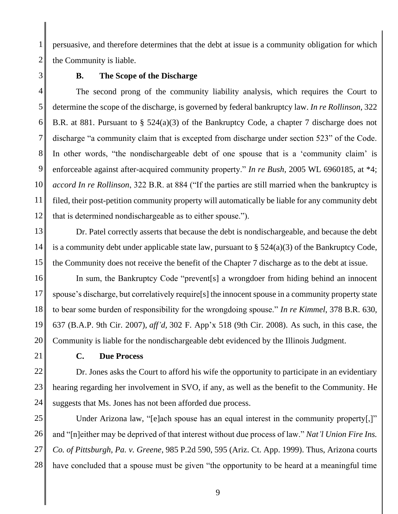2 persuasive, and therefore determines that the debt at issue is a community obligation for which the Community is liable.

3

1

### **B. The Scope of the Discharge**

4 5 6 7 8 9 10 11 12 The second prong of the community liability analysis, which requires the Court to determine the scope of the discharge, is governed by federal bankruptcy law. *In re Rollinson*, 322 B.R. at 881. Pursuant to § 524(a)(3) of the Bankruptcy Code, a chapter 7 discharge does not discharge "a community claim that is excepted from discharge under section 523" of the Code. In other words, "the nondischargeable debt of one spouse that is a 'community claim' is enforceable against after-acquired community property." *In re Bush*, 2005 WL 6960185, at \*4; *accord In re Rollinson*, 322 B.R. at 884 ("If the parties are still married when the bankruptcy is filed, their post-petition community property will automatically be liable for any community debt that is determined nondischargeable as to either spouse.").

13 14 15 Dr. Patel correctly asserts that because the debt is nondischargeable, and because the debt is a community debt under applicable state law, pursuant to  $\S$  524(a)(3) of the Bankruptcy Code, the Community does not receive the benefit of the Chapter 7 discharge as to the debt at issue.

16 17 18 19 20 In sum, the Bankruptcy Code "prevent[s] a wrongdoer from hiding behind an innocent spouse's discharge, but correlatively require[s] the innocent spouse in a community property state to bear some burden of responsibility for the wrongdoing spouse." *In re Kimmel*, 378 B.R. 630, 637 (B.A.P. 9th Cir. 2007), *aff'd,* 302 F. App'x 518 (9th Cir. 2008). As such, in this case, the Community is liable for the nondischargeable debt evidenced by the Illinois Judgment.

21

# **C. Due Process**

22 23 24 Dr. Jones asks the Court to afford his wife the opportunity to participate in an evidentiary hearing regarding her involvement in SVO, if any, as well as the benefit to the Community. He suggests that Ms. Jones has not been afforded due process.

25 26 27 28 Under Arizona law, "[e]ach spouse has an equal interest in the community property[,]" and "[n]either may be deprived of that interest without due process of law." *Nat'l Union Fire Ins. Co. of Pittsburgh, Pa. v. Greene*, 985 P.2d 590, 595 (Ariz. Ct. App. 1999). Thus, Arizona courts have concluded that a spouse must be given "the opportunity to be heard at a meaningful time